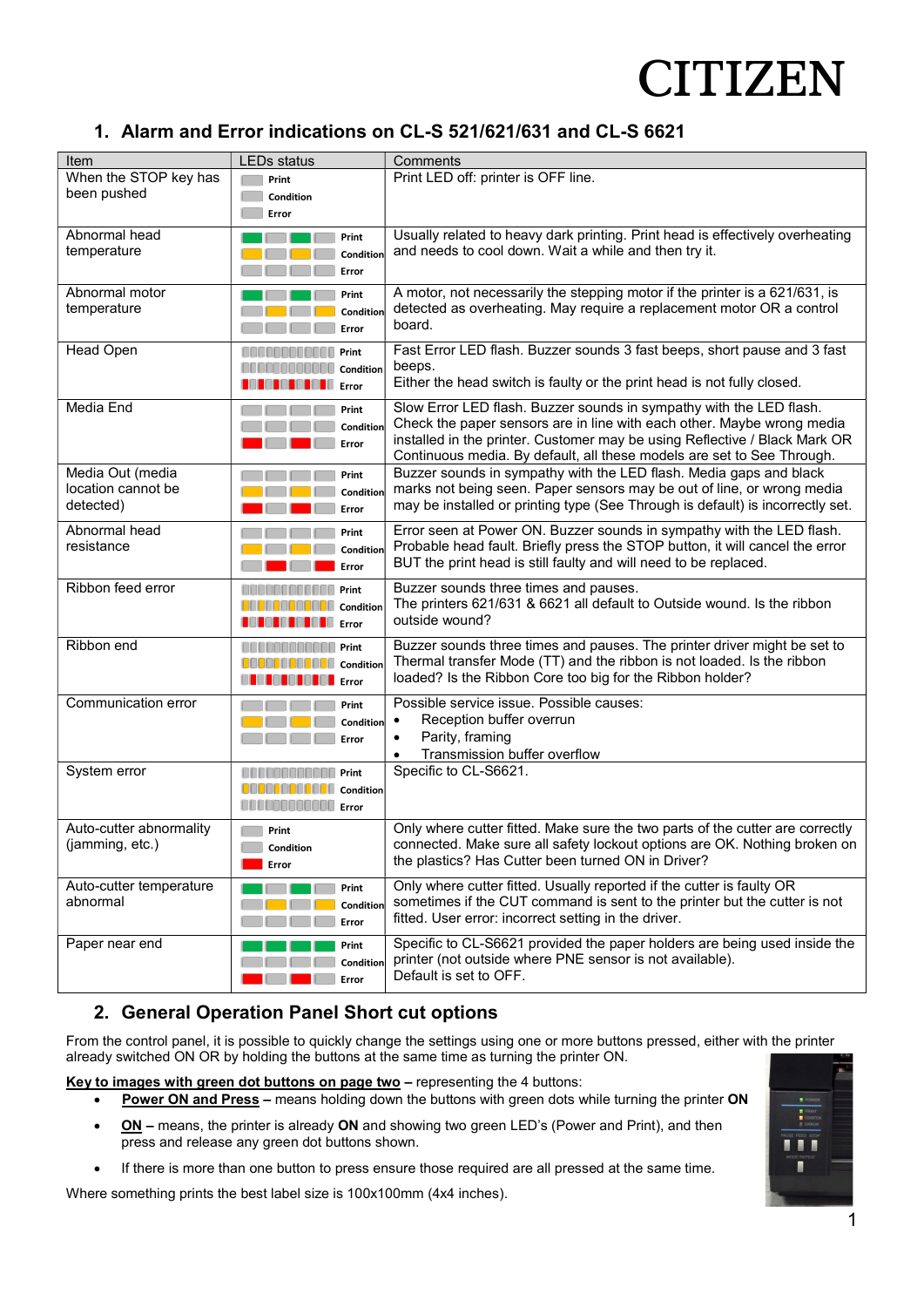# **CITIZEN**

### 1. Alarm and Error indications on CL-S 521/621/631 and CL-S 6621

| Item                                       | <b>LEDs status</b>                                                                                                                         | Comments                                                                                                                                                   |
|--------------------------------------------|--------------------------------------------------------------------------------------------------------------------------------------------|------------------------------------------------------------------------------------------------------------------------------------------------------------|
| When the STOP key has                      | Print                                                                                                                                      | Print LED off: printer is OFF line.                                                                                                                        |
| been pushed                                | Condition                                                                                                                                  |                                                                                                                                                            |
|                                            | Error                                                                                                                                      |                                                                                                                                                            |
| Abnormal head                              | Print                                                                                                                                      | Usually related to heavy dark printing. Print head is effectively overheating                                                                              |
| temperature                                | Condition                                                                                                                                  | and needs to cool down. Wait a while and then try it.                                                                                                      |
|                                            | Error                                                                                                                                      |                                                                                                                                                            |
| Abnormal motor                             | Print                                                                                                                                      | A motor, not necessarily the stepping motor if the printer is a 621/631, is                                                                                |
| temperature                                | Condition                                                                                                                                  | detected as overheating. May require a replacement motor OR a control                                                                                      |
|                                            | Error                                                                                                                                      | board.                                                                                                                                                     |
| Head Open                                  | Print                                                                                                                                      | Fast Error LED flash. Buzzer sounds 3 fast beeps, short pause and 3 fast                                                                                   |
|                                            | Condition                                                                                                                                  | beeps.                                                                                                                                                     |
|                                            | .<br>Error                                                                                                                                 | Either the head switch is faulty or the print head is not fully closed.                                                                                    |
| Media End                                  | Print                                                                                                                                      | Slow Error LED flash. Buzzer sounds in sympathy with the LED flash.                                                                                        |
|                                            | Condition                                                                                                                                  | Check the paper sensors are in line with each other. Maybe wrong media                                                                                     |
|                                            | Error                                                                                                                                      | installed in the printer. Customer may be using Reflective / Black Mark OR                                                                                 |
|                                            |                                                                                                                                            | Continuous media. By default, all these models are set to See Through.                                                                                     |
| Media Out (media                           | Print                                                                                                                                      | Buzzer sounds in sympathy with the LED flash. Media gaps and black                                                                                         |
| location cannot be<br>detected)            | Condition                                                                                                                                  | marks not being seen. Paper sensors may be out of line, or wrong media<br>may be installed or printing type (See Through is default) is incorrectly set.   |
|                                            | Error                                                                                                                                      |                                                                                                                                                            |
| Abnormal head                              | Print                                                                                                                                      | Error seen at Power ON. Buzzer sounds in sympathy with the LED flash.                                                                                      |
| resistance                                 | Condition                                                                                                                                  | Probable head fault. Briefly press the STOP button, it will cancel the error                                                                               |
|                                            | Error                                                                                                                                      | BUT the print head is still faulty and will need to be replaced.                                                                                           |
| Ribbon feed error                          | Print                                                                                                                                      | Buzzer sounds three times and pauses.                                                                                                                      |
|                                            | Condition                                                                                                                                  | The printers 621/631 & 6621 all default to Outside wound. Is the ribbon                                                                                    |
|                                            | u.<br>Error<br>.                                                                                                                           | outside wound?                                                                                                                                             |
| Ribbon end                                 | Print                                                                                                                                      | Buzzer sounds three times and pauses. The printer driver might be set to                                                                                   |
|                                            | Condition                                                                                                                                  | Thermal transfer Mode (TT) and the ribbon is not loaded. Is the ribbon                                                                                     |
|                                            | <b>Little Little Little Error</b>                                                                                                          | loaded? Is the Ribbon Core too big for the Ribbon holder?                                                                                                  |
| Communication error                        | Print                                                                                                                                      | Possible service issue. Possible causes:                                                                                                                   |
|                                            | Condition                                                                                                                                  | Reception buffer overrun<br>$\bullet$                                                                                                                      |
|                                            | Error                                                                                                                                      | Parity, framing<br>$\bullet$                                                                                                                               |
|                                            |                                                                                                                                            | Transmission buffer overflow                                                                                                                               |
| System error                               | Print                                                                                                                                      | Specific to CL-S6621.                                                                                                                                      |
|                                            | Condition<br><u> Alban Maria Maria Maria Maria Maria Maria Maria Maria Maria Maria Maria Maria Maria Maria Maria Maria Maria </u><br>Error |                                                                                                                                                            |
|                                            |                                                                                                                                            |                                                                                                                                                            |
| Auto-cutter abnormality<br>(jamming, etc.) | Print                                                                                                                                      | Only where cutter fitted. Make sure the two parts of the cutter are correctly<br>connected. Make sure all safety lockout options are OK. Nothing broken on |
|                                            | Condition                                                                                                                                  | the plastics? Has Cutter been turned ON in Driver?                                                                                                         |
|                                            | Error                                                                                                                                      |                                                                                                                                                            |
| Auto-cutter temperature<br>abnormal        | Print                                                                                                                                      | Only where cutter fitted. Usually reported if the cutter is faulty OR<br>sometimes if the CUT command is sent to the printer but the cutter is not         |
|                                            | Condition                                                                                                                                  | fitted. User error: incorrect setting in the driver.                                                                                                       |
|                                            | Error                                                                                                                                      |                                                                                                                                                            |
| Paper near end                             | Print                                                                                                                                      | Specific to CL-S6621 provided the paper holders are being used inside the                                                                                  |
|                                            | Condition                                                                                                                                  | printer (not outside where PNE sensor is not available).<br>Default is set to OFF.                                                                         |
|                                            | Error                                                                                                                                      |                                                                                                                                                            |

### 2. General Operation Panel Short cut options

From the control panel, it is possible to quickly change the settings using one or more buttons pressed, either with the printer already switched ON OR by holding the buttons at the same time as turning the printer ON.

Key to images with green dot buttons on page two - representing the 4 buttons:

- Power ON and Press means holding down the buttons with green dots while turning the printer ON
- ON means, the printer is already ON and showing two green LED's (Power and Print), and then press and release any green dot buttons shown.
- If there is more than one button to press ensure those required are all pressed at the same time.

Where something prints the best label size is 100x100mm (4x4 inches).